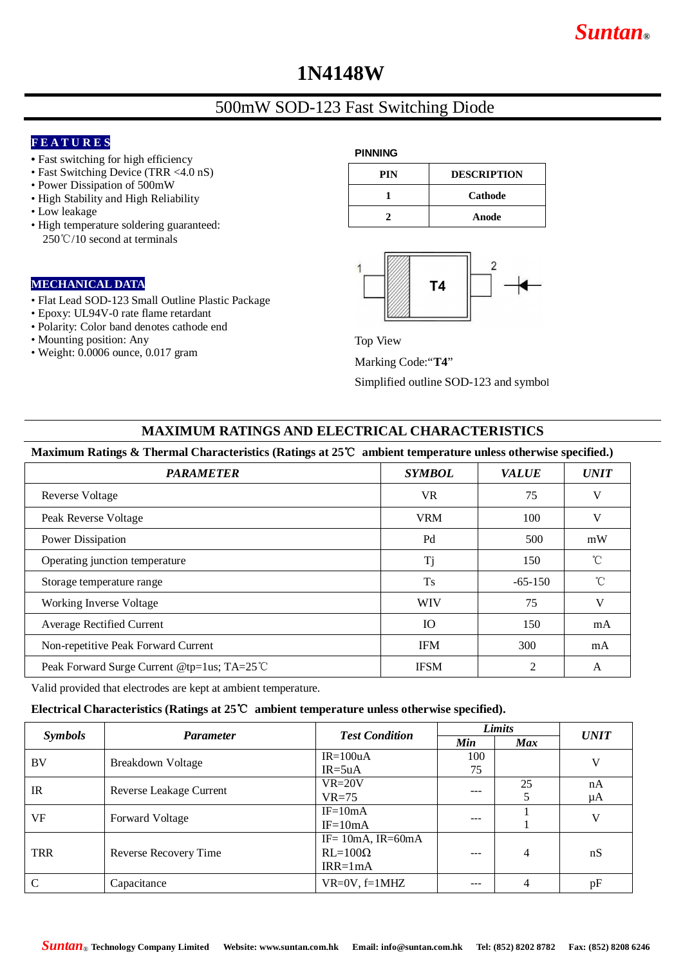# **1N4148W**

# 500mW SOD-123 Fast Switching Diode

### **F E A T U R E S**

- Fast switching for high efficiency
- Fast Switching Device (TRR <4.0 nS)
- Power Dissipation of 500mW
- High Stability and High Reliability
- Low leakage
- High temperature soldering guaranteed: 250℃/10 second at terminals

#### **MECHANICAL DATA**

- Flat Lead SOD-123 Small Outline Plastic Package
- Epoxy: UL94V-0 rate flame retardant
- Polarity: Color band denotes cathode end
- Mounting position: Any
- Weight: 0.0006 ounce, 0.017 gram

#### **PINNING**

| PIN | <b>DESCRIPTION</b> |  |
|-----|--------------------|--|
|     | Cathode            |  |
|     | Anode              |  |



Top View

Marking Code:"**T4**"

Simplified outline SOD-123 and symbol

#### **MAXIMUM RATINGS AND ELECTRICAL CHARACTERISTICS**

#### **Maximum Ratings & Thermal Characteristics (Ratings at 25**℃ **ambient temperature unless otherwise specified.)**

| o<br>o                                      | л.            |              |              |
|---------------------------------------------|---------------|--------------|--------------|
| <b>PARAMETER</b>                            | <b>SYMBOL</b> | <b>VALUE</b> | <b>UNIT</b>  |
| <b>Reverse Voltage</b>                      | <b>VR</b>     | 75           | V            |
| Peak Reverse Voltage                        | <b>VRM</b>    | 100          | V            |
| Power Dissipation                           | Pd            | 500          | mW           |
| Operating junction temperature              | Tj            | 150          | $^{\circ}$ C |
| Storage temperature range                   | <b>Ts</b>     | $-65-150$    | °C           |
| Working Inverse Voltage                     | <b>WIV</b>    | 75           | V            |
| <b>Average Rectified Current</b>            | <b>IO</b>     | 150          | mA           |
| Non-repetitive Peak Forward Current         | <b>IFM</b>    | 300          | mA           |
| Peak Forward Surge Current @tp=1us; TA=25 ℃ | <b>IFSM</b>   | 2            | $\mathsf{A}$ |

Valid provided that electrodes are kept at ambient temperature.

#### **Electrical Characteristics (Ratings at 25**℃ **ambient temperature unless otherwise specified).**

| <b>Symbols</b> | <b>Parameter</b>        | <b>Test Condition</b>   | Limits    |            | <b>UNIT</b> |
|----------------|-------------------------|-------------------------|-----------|------------|-------------|
|                |                         |                         | Min       | <b>Max</b> |             |
| BV             | Breakdown Voltage       | $IR = 100uA$            | 100<br>75 |            | V           |
|                |                         | $IR = 5uA$              |           |            |             |
| $_{\rm IR}$    | Reverse Leakage Current | $VR=20V$                | ---       | 25         | nA          |
|                |                         | $VR=75$                 |           |            | μA          |
| VF             | Forward Voltage         | $IF = 10mA$             | ---       |            | V           |
|                |                         | $IF=10mA$               |           |            |             |
|                |                         | IF= $10mA$ , IR= $60mA$ |           |            |             |
| <b>TRR</b>     | Reverse Recovery Time   | $RL=100\Omega$          | ---       | 4          | nS          |
|                |                         | $IRR = 1mA$             |           |            |             |
| $\mathcal{C}$  | Capacitance             | $VR=0V, f=1MHz$         | ---       | 4          | pF          |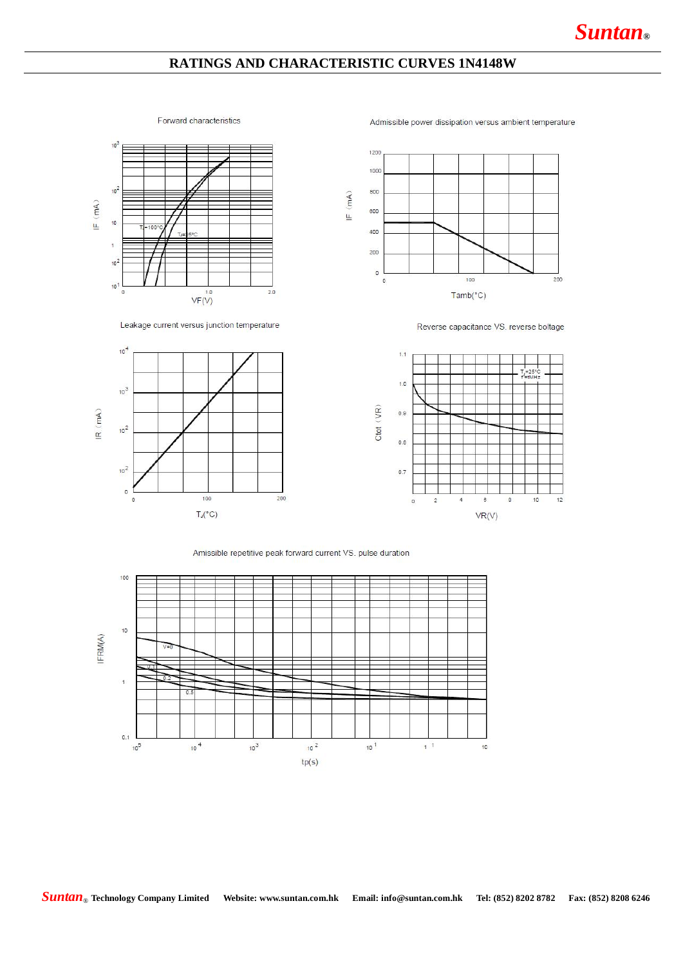## **RATINGS AND CHARACTERISTIC CURVES 1N4148W**

#### Forward characteristics

Admissible power dissipation versus ambient temperature





Leakage current versus junction temperature



Reverse capacitance VS. reverse boltage



Amissible repetitive peak forward current VS. pulse duration